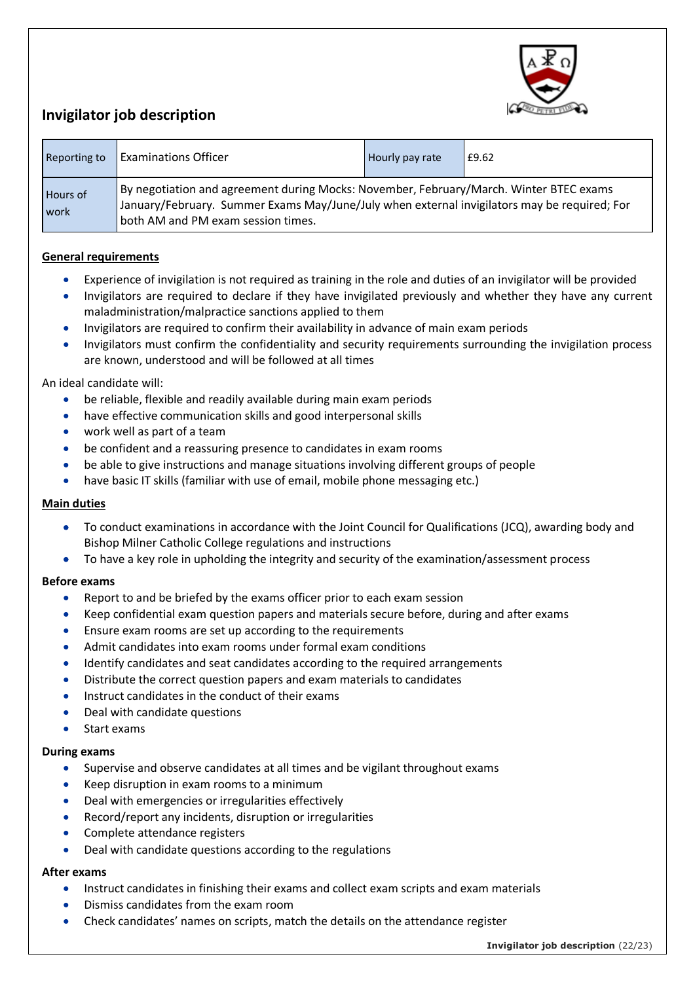

# **Invigilator job description**

| Reporting to     | <b>Examinations Officer</b>                                                                                                                                                                                                  | Hourly pay rate | £9.62 |
|------------------|------------------------------------------------------------------------------------------------------------------------------------------------------------------------------------------------------------------------------|-----------------|-------|
| Hours of<br>work | By negotiation and agreement during Mocks: November, February/March. Winter BTEC exams<br>January/February. Summer Exams May/June/July when external invigilators may be required; For<br>both AM and PM exam session times. |                 |       |

## **General requirements**

- Experience of invigilation is not required as training in the role and duties of an invigilator will be provided
- Invigilators are required to declare if they have invigilated previously and whether they have any current maladministration/malpractice sanctions applied to them
- Invigilators are required to confirm their availability in advance of main exam periods
- Invigilators must confirm the confidentiality and security requirements surrounding the invigilation process are known, understood and will be followed at all times

## An ideal candidate will:

- be reliable, flexible and readily available during main exam periods
- have effective communication skills and good interpersonal skills
- work well as part of a team
- be confident and a reassuring presence to candidates in exam rooms
- be able to give instructions and manage situations involving different groups of people
- have basic IT skills (familiar with use of email, mobile phone messaging etc.)

### **Main duties**

- To conduct examinations in accordance with the Joint Council for Qualifications (JCQ), awarding body and Bishop Milner Catholic College regulations and instructions
- To have a key role in upholding the integrity and security of the examination/assessment process

### **Before exams**

- Report to and be briefed by the exams officer prior to each exam session
- Keep confidential exam question papers and materials secure before, during and after exams
- Ensure exam rooms are set up according to the requirements
- Admit candidates into exam rooms under formal exam conditions
- Identify candidates and seat candidates according to the required arrangements
- Distribute the correct question papers and exam materials to candidates
- Instruct candidates in the conduct of their exams
- Deal with candidate questions
- Start exams

### **During exams**

- Supervise and observe candidates at all times and be vigilant throughout exams
- Keep disruption in exam rooms to a minimum
- Deal with emergencies or irregularities effectively
- Record/report any incidents, disruption or irregularities
- Complete attendance registers
- Deal with candidate questions according to the regulations

### **After exams**

- Instruct candidates in finishing their exams and collect exam scripts and exam materials
- Dismiss candidates from the exam room
- Check candidates' names on scripts, match the details on the attendance register